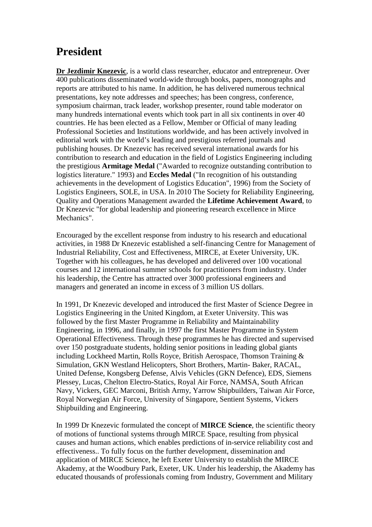## **President**

**Dr Jezdimir Knezevic**, is a world class researcher, educator and entrepreneur. Over 400 publications disseminated world-wide through books, papers, monographs and reports are attributed to his name. In addition, he has delivered numerous technical presentations, key note addresses and speeches; has been congress, conference, symposium chairman, track leader, workshop presenter, round table moderator on many hundreds international events which took part in all six continents in over 40 countries. He has been elected as a Fellow, Member or Official of many leading Professional Societies and Institutions worldwide, and has been actively involved in editorial work with the world's leading and prestigious referred journals and publishing houses. Dr Knezevic has received several international awards for his contribution to research and education in the field of Logistics Engineering including the prestigious **Armitage Medal** ("Awarded to recognize outstanding contribution to logistics literature." 1993) and **Eccles Medal** ("In recognition of his outstanding achievements in the development of Logistics Education", 1996) from the Society of Logistics Engineers, SOLE, in USA. In 2010 The Society for Reliability Engineering, Quality and Operations Management awarded the **Lifetime Achievement Award**, to Dr Knezevic "for global leadership and pioneering research excellence in Mirce Mechanics".

Encouraged by the excellent response from industry to his research and educational activities, in 1988 Dr Knezevic established a self-financing Centre for Management of Industrial Reliability, Cost and Effectiveness, MIRCE, at Exeter University, UK. Together with his colleagues, he has developed and delivered over 100 vocational courses and 12 international summer schools for practitioners from industry. Under his leadership, the Centre has attracted over 3000 professional engineers and managers and generated an income in excess of 3 million US dollars.

In 1991, Dr Knezevic developed and introduced the first Master of Science Degree in Logistics Engineering in the United Kingdom, at Exeter University. This was followed by the first Master Programme in Reliability and Maintainability Engineering, in 1996, and finally, in 1997 the first Master Programme in System Operational Effectiveness. Through these programmes he has directed and supervised over 150 postgraduate students, holding senior positions in leading global giants including Lockheed Martin, Rolls Royce, British Aerospace, Thomson Training & Simulation, GKN Westland Helicopters, Short Brothers, Martin- Baker, RACAL, United Defense, Kongsberg Defense, Alvis Vehicles (GKN Defence), EDS, Siemens Plessey, Lucas, Chelton Electro-Statics, Royal Air Force, NAMSA, South African Navy, Vickers, GEC Marconi, British Army, Yarrow Shipbuilders, Taiwan Air Force, Royal Norwegian Air Force, University of Singapore, Sentient Systems, Vickers Shipbuilding and Engineering.

In 1999 Dr Knezevic formulated the concept of **MIRCE Science**, the scientific theory of motions of functional systems through MIRCE Space, resulting from physical causes and human actions, which enables predictions of in-service reliability cost and effectiveness.. To fully focus on the further development, dissemination and application of MIRCE Science, he left Exeter University to establish the MIRCE Akademy, at the Woodbury Park, Exeter, UK. Under his leadership, the Akademy has educated thousands of professionals coming from Industry, Government and Military